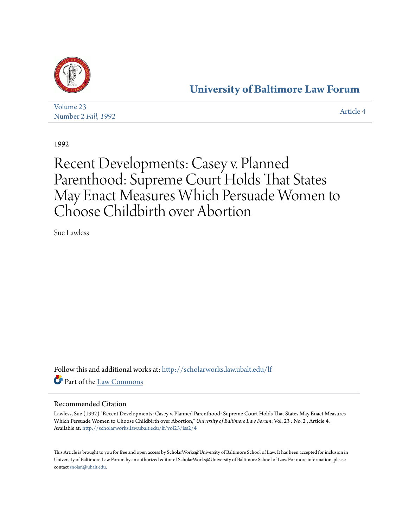

### **[University of Baltimore Law Forum](http://scholarworks.law.ubalt.edu/lf?utm_source=scholarworks.law.ubalt.edu%2Flf%2Fvol23%2Fiss2%2F4&utm_medium=PDF&utm_campaign=PDFCoverPages)**

| Volume 23                   |           |
|-----------------------------|-----------|
| Number 2 <i>Fall</i> , 1992 | Article 4 |

1992

## Recent Developments: Casey v. Planned Parenthood: Supreme Court Holds That States May Enact Measures Which Persuade Women to Choose Childbirth over Abortion

Sue Lawless

Follow this and additional works at: [http://scholarworks.law.ubalt.edu/lf](http://scholarworks.law.ubalt.edu/lf?utm_source=scholarworks.law.ubalt.edu%2Flf%2Fvol23%2Fiss2%2F4&utm_medium=PDF&utm_campaign=PDFCoverPages) Part of the [Law Commons](http://network.bepress.com/hgg/discipline/578?utm_source=scholarworks.law.ubalt.edu%2Flf%2Fvol23%2Fiss2%2F4&utm_medium=PDF&utm_campaign=PDFCoverPages)

### Recommended Citation

Lawless, Sue (1992) "Recent Developments: Casey v. Planned Parenthood: Supreme Court Holds That States May Enact Measures Which Persuade Women to Choose Childbirth over Abortion," *University of Baltimore Law Forum*: Vol. 23 : No. 2 , Article 4. Available at: [http://scholarworks.law.ubalt.edu/lf/vol23/iss2/4](http://scholarworks.law.ubalt.edu/lf/vol23/iss2/4?utm_source=scholarworks.law.ubalt.edu%2Flf%2Fvol23%2Fiss2%2F4&utm_medium=PDF&utm_campaign=PDFCoverPages)

This Article is brought to you for free and open access by ScholarWorks@University of Baltimore School of Law. It has been accepted for inclusion in University of Baltimore Law Forum by an authorized editor of ScholarWorks@University of Baltimore School of Law. For more information, please contact [snolan@ubalt.edu.](mailto:snolan@ubalt.edu)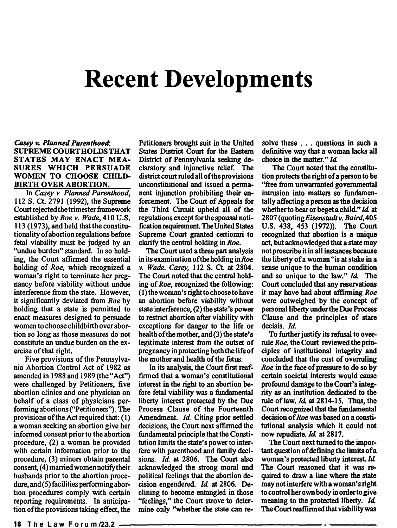# Recent Developments

#### *Casey v. Planned Parenthood:*  SUPREME COURT HOLDS THAT STATES MAY ENACT MEA-SURES WHICH PERSUADE WOMEN TO CHOOSE CHILD-BIRTH OVER ABORTION.

In *Casey v. Planned Parenthood,*  112 S. Ct. 2791 (1992), the Supreme Court rejected the trimester framework established by *Roe v. Wade,* 410 U.S. 113 (1973), and held that the constitutionality of abortion regulations before fetal viability must be judged by an "undue burden" standard. In so holding, the Court affirmed the essential holding of *Roe,* which recognized a woman's right to terminate her pregnancy before viability without undue interference from the state. However, it significantly deviated from *Roe* by holding that a state is permitted to enact measures designed to persuade women to choose childbirth over abortion so long as those measures do not constitute an undue burden on the exercise of that right.

Five provisions of the Pennsylvania Abortion Control Act of 1982 as amended in 1988 and 1989 (the "Act") were challenged by Petitioners, five abortion clinics and one physician on behalf of a class of physicians performing abortions ("Petitioners"). The provisions of the Act required that: (1) a woman seeking an abortion give her informed consent prior to the abortion procedure, (2) a woman be provided with certain information prior to the procedure, (3) minors obtain parental consent, (4) married women notify their husbands prior to the abortion procedure, and (5) facilities performing abortion procedures comply with certain reporting requirements. In anticipation of the provisions taking effect, the

Petitioners brought suit in the United States District Court for the Eastern District of Pennsylvania seeking declaratory and injunctive relief. The district court ruled all of the provisions unconstitutional and issued a permanent injunction prohibiting their enforcement. The Court of Appeals for the Third Circuit upheld all of the regulations except for the spousal notification requirement. The United States Supreme Court granted certiorari to clarify the central holding in *Roe.* 

The Court used a three part analysis in its examination of the holding *inRoe v. Wade. Casey.* 112 S. Ct. at 2804. The Court noted that the central holding of *Roe,* recognized the following: (1) the woman's right to choose to have an abortion before viability without state interference, (2) the state's power to restrict abortion after viability with exceptions for danger to the life or health of the mother, and (3) the state's legitimate interest from the outset of pregnancy in protecting both the life of the mother and health of the fetus.

In its analysis, the Court first reaffirmed that a woman's constitutional interest in the right to an abortion before fetal viability was a fundamental liberty interest protected by the Due Process Clause of the Fourteenth Amendment. *Id.* Citing prior settled decisions, the Court next affirmed the fundamental principle that the Constitution limits the state's power to interfere with parenthood and family decisions. *Id.* at 2806. The Court also acknowledged the strong moral and political feelings that the abortion decision engendered. *Id.* at 2806. Declining to become entangled in those "feelings," the Court strove to determine only ''whether the state can resolve these . . . questions in such a defmitive way that a woman lacks all choice in the matter." *Id.* 

The Court noted that the constitution protects the right of a person to be "free from unwarranted governmental intrusion into matters so fundamentally affecting a person as the decision whether to bear or beget a child" *Id.* at *2807 (quotingEisenstadtv. Baird,405*  U.S. 438, 453 (1972)). The Court recognized that abortion is a unique act, but acknowledged that a state may not proscribe it in all instances because the liberty of a woman "is at stake in a sense unique to the human condition and so unique to the law." *Id.* The Court concluded that any reservations it may have had about affirming *Roe*  were outweighed by the concept of personal liberty under the Due Process Clause and the principles of stare decisis. *Id.* 

To further justify its refusal to overrule *Roe,* the Court reviewed the principles of institutional integrity and concluded that the cost of overruling *Roe* in the face of pressure to do so by certain societal interests would cause profound damage to the Court's integrity as an institution dedicated to the rule oflaw. *Id.* at 2814-15. Thus, the Court recognized that the fundamental decision of *Roe* was based on a constitutional analysis which it could not now repudiate. *Id.* at 2817.

The Court next turned to the important question of defming the limits of a woman's protected liberty interest. Id. The Court reasoned that it was required to draw a line where the state may not interfere with a woman's right to control her own body in order to give meaning to the protected liberty. *Id.* The Court reaffirmed that viability was